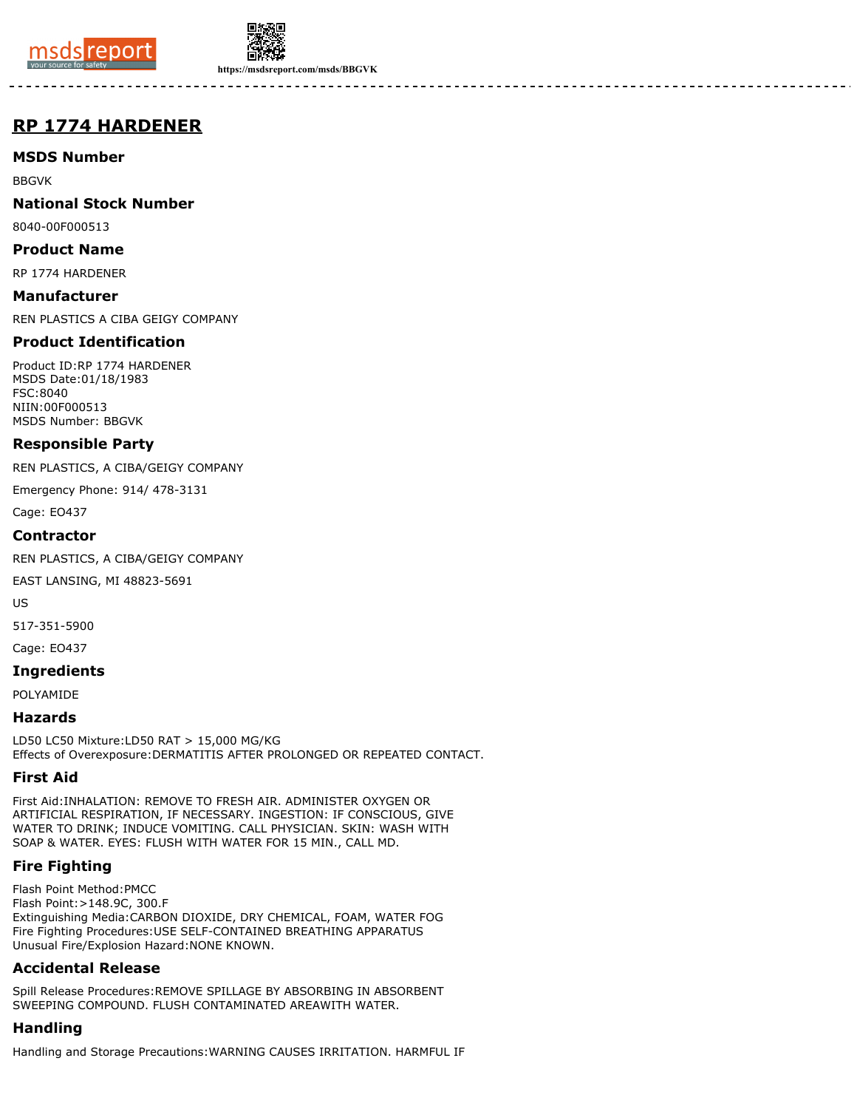



**https://msdsreport.com/msds/BBGVK**

# **RP 1774 HARDENER**

## **MSDS Number**

BBGVK

## **National Stock Number**

8040-00F000513

#### **Product Name**

RP 1774 HARDENER

#### **Manufacturer**

REN PLASTICS A CIBA GEIGY COMPANY

## **Product Identification**

Product ID:RP 1774 HARDENER MSDS Date:01/18/1983 FSC:8040 NIIN:00F000513 MSDS Number: BBGVK

#### **Responsible Party**

REN PLASTICS, A CIBA/GEIGY COMPANY

Emergency Phone: 914/ 478-3131

Cage: EO437

#### **Contractor**

REN PLASTICS, A CIBA/GEIGY COMPANY

EAST LANSING, MI 48823-5691

US

517-351-5900

Cage: EO437

#### **Ingredients**

POLYAMIDE

## **Hazards**

LD50 LC50 Mixture:LD50 RAT > 15,000 MG/KG Effects of Overexposure:DERMATITIS AFTER PROLONGED OR REPEATED CONTACT.

## **First Aid**

First Aid:INHALATION: REMOVE TO FRESH AIR. ADMINISTER OXYGEN OR ARTIFICIAL RESPIRATION, IF NECESSARY. INGESTION: IF CONSCIOUS, GIVE WATER TO DRINK; INDUCE VOMITING. CALL PHYSICIAN. SKIN: WASH WITH SOAP & WATER. EYES: FLUSH WITH WATER FOR 15 MIN., CALL MD.

# **Fire Fighting**

Flash Point Method:PMCC Flash Point:>148.9C, 300.F Extinguishing Media:CARBON DIOXIDE, DRY CHEMICAL, FOAM, WATER FOG Fire Fighting Procedures:USE SELF-CONTAINED BREATHING APPARATUS Unusual Fire/Explosion Hazard:NONE KNOWN.

## **Accidental Release**

Spill Release Procedures:REMOVE SPILLAGE BY ABSORBING IN ABSORBENT SWEEPING COMPOUND. FLUSH CONTAMINATED AREAWITH WATER.

# **Handling**

Handling and Storage Precautions:WARNING CAUSES IRRITATION. HARMFUL IF